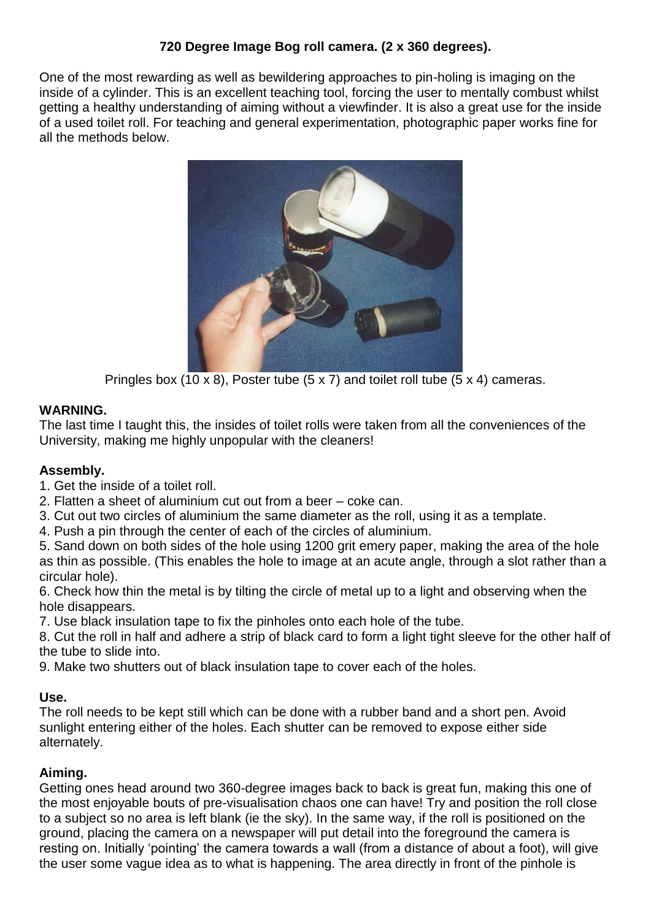## **720 Degree Image Bog roll camera. (2 x 360 degrees).**

One of the most rewarding as well as bewildering approaches to pin-holing is imaging on the inside of a cylinder. This is an excellent teaching tool, forcing the user to mentally combust whilst getting a healthy understanding of aiming without a viewfinder. It is also a great use for the inside of a used toilet roll. For teaching and general experimentation, photographic paper works fine for all the methods below.



Pringles box (10 x 8), Poster tube (5 x 7) and toilet roll tube (5 x 4) cameras.

## **WARNING.**

The last time I taught this, the insides of toilet rolls were taken from all the conveniences of the University, making me highly unpopular with the cleaners!

### **Assembly.**

- 1. Get the inside of a toilet roll.
- 2. Flatten a sheet of aluminium cut out from a beer coke can.
- 3. Cut out two circles of aluminium the same diameter as the roll, using it as a template.
- 4. Push a pin through the center of each of the circles of aluminium.

5. Sand down on both sides of the hole using 1200 grit emery paper, making the area of the hole as thin as possible. (This enables the hole to image at an acute angle, through a slot rather than a circular hole).

6. Check how thin the metal is by tilting the circle of metal up to a light and observing when the hole disappears.

7. Use black insulation tape to fix the pinholes onto each hole of the tube.

8. Cut the roll in half and adhere a strip of black card to form a light tight sleeve for the other half of the tube to slide into.

9. Make two shutters out of black insulation tape to cover each of the holes.

# **Use.**

The roll needs to be kept still which can be done with a rubber band and a short pen. Avoid sunlight entering either of the holes. Each shutter can be removed to expose either side alternately.

# **Aiming.**

Getting ones head around two 360-degree images back to back is great fun, making this one of the most enjoyable bouts of pre-visualisation chaos one can have! Try and position the roll close to a subject so no area is left blank (ie the sky). In the same way, if the roll is positioned on the ground, placing the camera on a newspaper will put detail into the foreground the camera is resting on. Initially 'pointing' the camera towards a wall (from a distance of about a foot), will give the user some vague idea as to what is happening. The area directly in front of the pinhole is